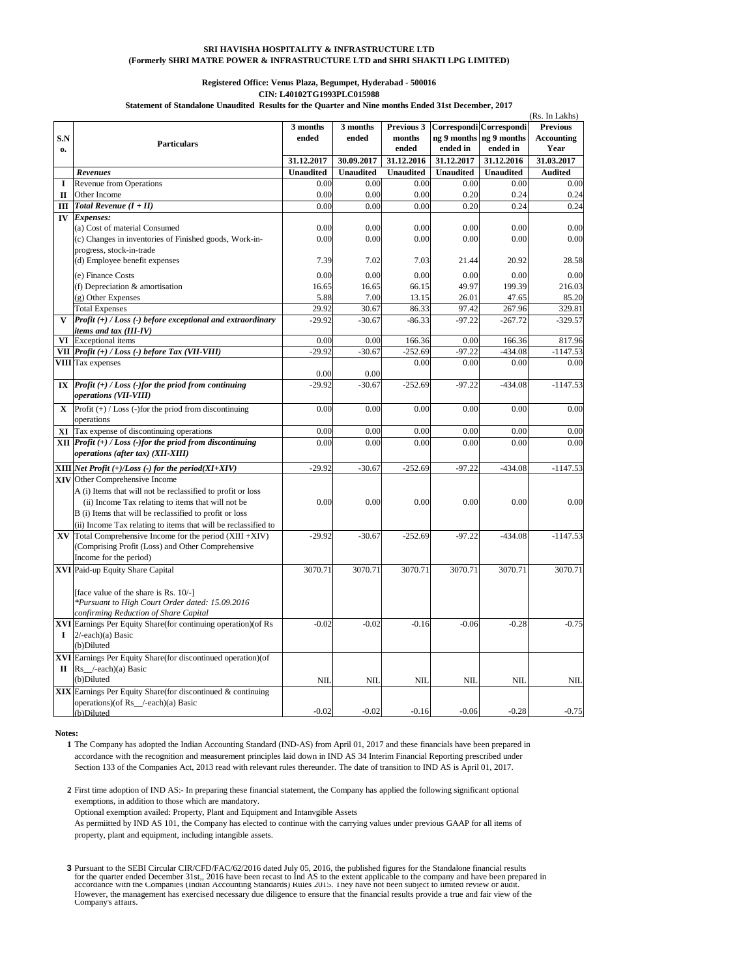## **SRI HAVISHA HOSPITALITY & INFRASTRUCTURE LTD (Formerly SHRI MATRE POWER & INFRASTRUCTURE LTD and SHRI SHAKTI LPG LIMITED)**

## **Registered Office: Venus Plaza, Begumpet, Hyderabad - 500016 CIN: L40102TG1993PLC015988**

**Statement of Standalone Unaudited Results for the Quarter and Nine months Ended 31st December, 2017**

|              |                                                                                          |                  |                  |                  |                  |                         | (Rs. In Lakhs)    |
|--------------|------------------------------------------------------------------------------------------|------------------|------------------|------------------|------------------|-------------------------|-------------------|
|              |                                                                                          | 3 months         | 3 months         | Previous 3       |                  | Correspondi Correspondi | <b>Previous</b>   |
| S.N          | <b>Particulars</b>                                                                       | ended            | ended            | months           |                  | ng 9 months ng 9 months | <b>Accounting</b> |
| $\mathbf{0}$ |                                                                                          |                  |                  | ended            | ended in         | ended in                | Year              |
|              |                                                                                          | 31.12.2017       | 30.09.2017       | 31.12.2016       | 31.12.2017       | 31.12.2016              | 31.03.2017        |
|              | Revenues                                                                                 | <b>Unaudited</b> | <b>Unaudited</b> | <b>Unaudited</b> | <b>Unaudited</b> | <b>Unaudited</b>        | <b>Audited</b>    |
| I            | <b>Revenue from Operations</b>                                                           | 0.00             | 0.00             | 0.00             | 0.00             | 0.00                    | 0.00              |
| П            | Other Income                                                                             | 0.00             | 0.00             | 0.00             | 0.20             | 0.24                    | 0.24              |
| Ш            | Total Revenue $(I + II)$                                                                 | 0.00             | 0.00             | 0.00             | 0.20             | 0.24                    | 0.24              |
|              | IV Expenses:                                                                             |                  |                  |                  |                  |                         |                   |
|              | (a) Cost of material Consumed                                                            | 0.00             | 0.00             | 0.00             | 0.00             | 0.00                    | 0.00              |
|              | (c) Changes in inventories of Finished goods, Work-in-                                   | 0.00             | 0.00             | 0.00             | 0.00             | 0.00                    | 0.00              |
|              | progress, stock-in-trade                                                                 |                  |                  |                  |                  |                         |                   |
|              | (d) Employee benefit expenses                                                            | 7.39             | 7.02             | 7.03             | 21.44            | 20.92                   | 28.58             |
|              | (e) Finance Costs                                                                        | 0.00             | 0.00             | 0.00             | 0.00             | 0.00                    | 0.00              |
|              | (f) Depreciation & amortisation                                                          | 16.65            | 16.65            | 66.15            | 49.97            | 199.39                  | 216.03            |
|              | (g) Other Expenses                                                                       | 5.88             | 7.00             | 13.15            | 26.01            | 47.65                   | 85.20             |
|              | <b>Total Expenses</b>                                                                    | 29.92            | 30.67            | 86.33            | 97.42            | 267.96                  | 329.81            |
| V            | Profit $(+)$ / Loss $(-)$ before exceptional and extraordinary                           | $-29.92$         | $-30.67$         | $-86.33$         | $-97.22$         | $-267.72$               | $-329.57$         |
|              | items and tax (III-IV)                                                                   |                  |                  |                  |                  |                         |                   |
|              | <b>VI</b> Exceptional items                                                              | 0.00             | 0.00             | 166.36           | 0.00             | 166.36                  | 817.96            |
|              | VII Profit (+) / Loss (-) before Tax (VII-VIII)                                          | $-29.92$         | $-30.67$         | $-252.69$        | $-97.22$         | $-434.08$               | $-1147.53$        |
|              | <b>VIII</b> Tax expenses                                                                 |                  |                  | 0.00             | 0.00             | 0.00                    | 0.00              |
|              |                                                                                          | 0.00             | 0.00             |                  |                  |                         |                   |
|              | IX $\left  \text{Profit } (+) / Loss (-) \text{ for the period from continuing} \right $ | $-29.92$         | $-30.67$         | $-252.69$        | $-97.22$         | $-434.08$               | $-1147.53$        |
|              | operations (VII-VIII)                                                                    |                  |                  |                  |                  |                         |                   |
| X            | Profit $(+)$ / Loss (-)for the priod from discontinuing                                  | 0.00             | 0.00             | 0.00             | 0.00             | 0.00                    | 0.00              |
|              | operations                                                                               |                  |                  |                  |                  |                         |                   |
|              | <b>XI</b> Tax expense of discontinuing operations                                        | 0.00             | 0.00             | 0.00             | 0.00             | 0.00                    | 0.00              |
|              | $XII$ Profit $(+)$ / Loss (-)for the priod from discontinuing                            | 0.00             | 0.00             | 0.00             | 0.00             | 0.00                    | 0.00              |
|              | <i>operations (after tax) (XII-XIII)</i>                                                 |                  |                  |                  |                  |                         |                   |
|              | XIII Net Profit $(+)/Loss$ (-) for the period $(XI+XIV)$                                 | $-29.92$         | $-30.67$         | $-252.69$        | $-97.22$         | $-434.08$               | $-1147.53$        |
|              | <b>XIV</b> Other Comprehensive Income                                                    |                  |                  |                  |                  |                         |                   |
|              | A (i) Items that will not be reclassified to profit or loss                              |                  |                  |                  |                  |                         |                   |
|              | (ii) Income Tax relating to items that will not be                                       | 0.00             | 0.00             | 0.00             | 0.00             | 0.00                    | 0.00              |
|              | B (i) Items that will be reclassified to profit or loss                                  |                  |                  |                  |                  |                         |                   |
|              | (ii) Income Tax relating to items that will be reclassified to                           |                  |                  |                  |                  |                         |                   |
|              | $\bf{XV}$ Total Comprehensive Income for the period (XIII +XIV)                          | $-29.92$         | $-30.67$         | $-252.69$        | $-97.22$         | $-434.08$               | $-1147.53$        |
|              | (Comprising Profit (Loss) and Other Comprehensive                                        |                  |                  |                  |                  |                         |                   |
|              | Income for the period)                                                                   |                  |                  |                  |                  |                         |                   |
|              | XVI Paid-up Equity Share Capital                                                         | 3070.71          | 3070.71          | 3070.71          | 3070.71          | 3070.71                 | 3070.71           |
|              |                                                                                          |                  |                  |                  |                  |                         |                   |
|              | [face value of the share is Rs. 10/-]                                                    |                  |                  |                  |                  |                         |                   |
|              | *Pursuant to High Court Order dated: 15.09.2016                                          |                  |                  |                  |                  |                         |                   |
|              | confirming Reduction of Share Capital                                                    |                  |                  |                  |                  |                         |                   |
|              | XVI Earnings Per Equity Share(for continuing operation)(of Rs                            | $-0.02$          | $-0.02$          | $-0.16$          | $-0.06$          | $-0.28$                 | $-0.75$           |
| 1            | $2$ /-each)(a) Basic                                                                     |                  |                  |                  |                  |                         |                   |
|              | (b)Diluted                                                                               |                  |                  |                  |                  |                         |                   |
|              | XVI Earnings Per Equity Share (for discontinued operation) (of                           |                  |                  |                  |                  |                         |                   |
| П            | $Rs$ /-each)(a) Basic                                                                    |                  |                  |                  |                  |                         |                   |
|              | (b)Diluted                                                                               | NII              | NII              | <b>NII</b>       | NII              | NII                     | <b>NIL</b>        |
|              | <b>XIX</b> Earnings Per Equity Share (for discontinued & continuing                      |                  |                  |                  |                  |                         |                   |
|              | operations)(of Rs_/-each)(a) Basic                                                       |                  |                  |                  |                  |                         |                   |
|              | (b)Diluted                                                                               | $-0.02$          | $-0.02$          | $-0.16$          | $-0.06$          | $-0.28$                 | $-0.75$           |

**Notes:**

**1** The Company has adopted the Indian Accounting Standard (IND-AS) from April 01, 2017 and these financials have been prepared in accordance with the recognition and measurement principles laid down in IND AS 34 Interim Financial Reporting prescribed under Section 133 of the Companies Act, 2013 read with relevant rules thereunder. The date of transition to IND AS is April 01, 2017.

**2** First time adoption of IND AS:- In preparing these financial statement, the Company has applied the following significant optional exemptions, in addition to those which are mandatory.

Optional exemption availed: Property, Plant and Equipment and Intanvgible Assets

As permiitted by IND AS 101, the Company has elected to continue with the carrying values under previous GAAP for all items of property, plant and equipment, including intangible assets.

**3** Pursuant to the SEBI Circular CIR/CFD/FAC/62/2016 dated July 05, 2016, the published figures for the Standalone financial results for the quarter ended December 31st,, 2016 have been recast to Ind AS to the extent applicable to the company and have been prepared in<br>accordance with the Companies (Indian Accounting Standards) Rules 2015. They have not However, the management has exercised necessary due diligence to ensure that the financial results provide a true and fair view of the Company's affairs.